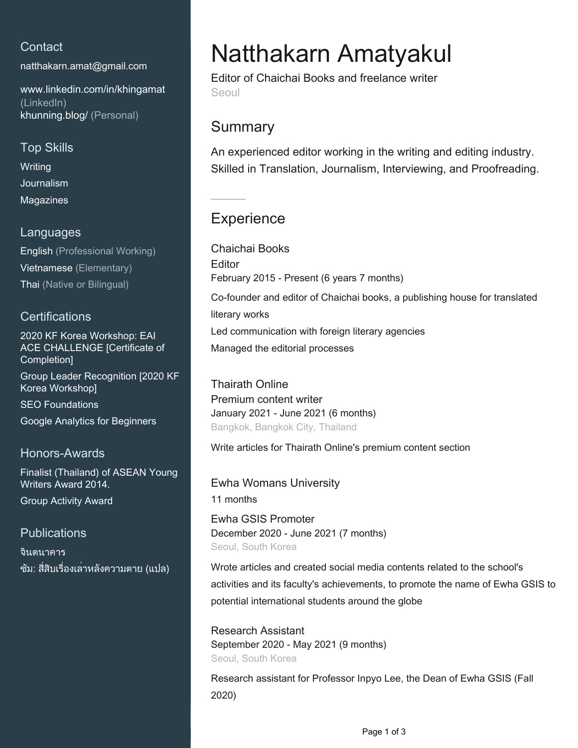### **Contact**

[natthakarn.amat@gmail.com](mailto:natthakarn.amat@gmail.com)

[www.linkedin.com/in/khingamat](https://www.linkedin.com/in/khingamat?jobid=1234&lipi=urn%3Ali%3Apage%3Ad_jobs_easyapply_pdfgenresume%3B9mNisNDVSqO77Dw1cqg7PA%3D%3D&licu=urn%3Ali%3Acontrol%3Ad_jobs_easyapply_pdfgenresume-v02_profile) [\(LinkedIn\)](https://www.linkedin.com/in/khingamat?jobid=1234&lipi=urn%3Ali%3Apage%3Ad_jobs_easyapply_pdfgenresume%3B9mNisNDVSqO77Dw1cqg7PA%3D%3D&licu=urn%3Ali%3Acontrol%3Ad_jobs_easyapply_pdfgenresume-v02_profile) [khunning.blog/ \(Personal\)](http://khunning.blog/)

### Top Skills

**Writing Journalism** Magazines

#### Languages

English (Professional Working) Vietnamese (Elementary) Thai (Native or Bilingual)

### **Certifications**

2020 KF Korea Workshop: EAI ACE CHALLENGE [Certificate of Completion] Group Leader Recognition [2020 KF Korea Workshop] SEO Foundations Google Analytics for Beginners

### Honors-Awards

Finalist (Thailand) of ASEAN Young Writers Award 2014. Group Activity Award

### **Publications**

จินตนาคาร ซัม: สี่สิบเรื่องเล่าหลังความตาย (แปล)

# Natthakarn Amatyakul

Editor of Chaichai Books and freelance writer Seoul

## **Summary**

An experienced editor working in the writing and editing industry. Skilled in Translation, Journalism, Interviewing, and Proofreading.

# **Experience**

Chaichai Books **Editor** February 2015 - Present (6 years 7 months) Co-founder and editor of Chaichai books, a publishing house for translated literary works

Led communication with foreign literary agencies

Managed the editorial processes

Thairath Online Premium content writer January 2021 - June 2021 (6 months) Bangkok, Bangkok City, Thailand

Write articles for Thairath Online's premium content section

Ewha Womans University 11 months

Ewha GSIS Promoter December 2020 - June 2021 (7 months) Seoul, South Korea

Wrote articles and created social media contents related to the school's activities and its faculty's achievements, to promote the name of Ewha GSIS to potential international students around the globe

Research Assistant September 2020 - May 2021 (9 months) Seoul, South Korea

Research assistant for Professor Inpyo Lee, the Dean of Ewha GSIS (Fall 2020)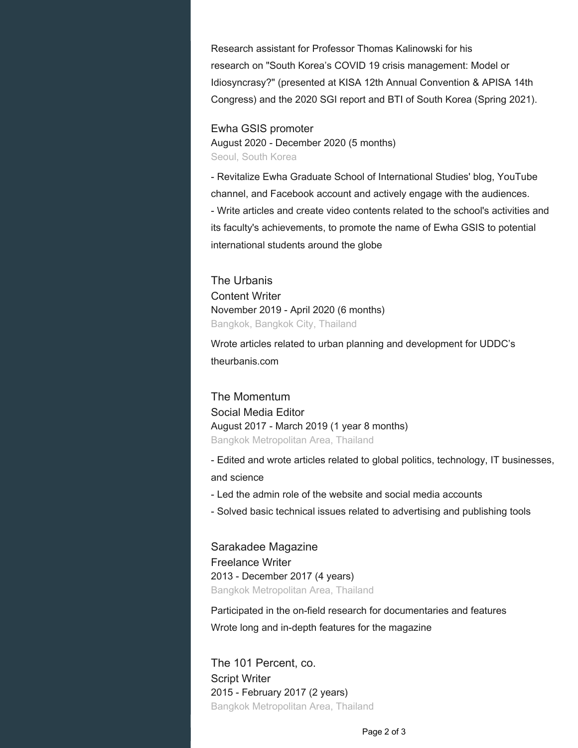Research assistant for Professor Thomas Kalinowski for his research on "South Korea's COVID 19 crisis management: Model or Idiosyncrasy?" (presented at KISA 12th Annual Convention & APISA 14th Congress) and the 2020 SGI report and BTI of South Korea (Spring 2021).

### Ewha GSIS promoter

August 2020 - December 2020 (5 months) Seoul, South Korea

- Revitalize Ewha Graduate School of International Studies' blog, YouTube channel, and Facebook account and actively engage with the audiences. - Write articles and create video contents related to the school's activities and its faculty's achievements, to promote the name of Ewha GSIS to potential international students around the globe

The Urbanis Content Writer November 2019 - April 2020 (6 months) Bangkok, Bangkok City, Thailand

Wrote articles related to urban planning and development for UDDC's theurbanis.com

The Momentum Social Media Editor August 2017 - March 2019 (1 year 8 months) Bangkok Metropolitan Area, Thailand

- Edited and wrote articles related to global politics, technology, IT businesses, and science

- Led the admin role of the website and social media accounts
- Solved basic technical issues related to advertising and publishing tools

Sarakadee Magazine Freelance Writer 2013 - December 2017 (4 years) Bangkok Metropolitan Area, Thailand

Participated in the on-field research for documentaries and features Wrote long and in-depth features for the magazine

The 101 Percent, co. Script Writer 2015 - February 2017 (2 years) Bangkok Metropolitan Area, Thailand